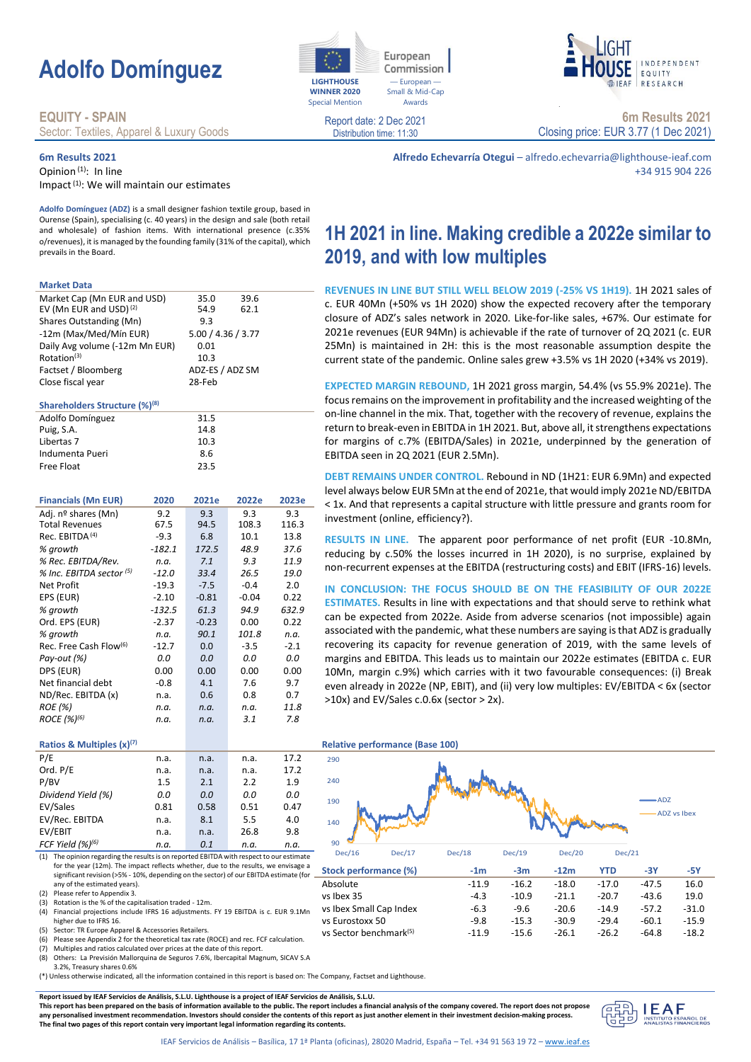# **Adolfo Domínguez**

### **EQUITY - SPAIN**

Sector: Textiles, Apparel & Luxury Goods

### **6m Results 2021**

Opinion (1): In line Impact<sup>(1)</sup>: We will maintain our estimates

**Adolfo Domínguez (ADZ)** is a small designer fashion textile group, based in Ourense (Spain), specialising (c. 40 years) in the design and sale (both retail and wholesale) of fashion items. With international presence (c.35% o/revenues), it is managed by the founding family (31% of the capital), which prevails in the Board.

#### **Market Data**

| Market Cap (Mn EUR and USD)               |                    | 35.0            | 39.6    |        |
|-------------------------------------------|--------------------|-----------------|---------|--------|
| EV (Mn EUR and USD) <sup>(2)</sup>        |                    | 54.9            | 62.1    |        |
| Shares Outstanding (Mn)                   |                    | 9.3             |         |        |
| -12m (Max/Med/Mín EUR)                    | 5.00 / 4.36 / 3.77 |                 |         |        |
| Daily Avg volume (-12m Mn EUR)            | 0.01               |                 |         |        |
| Rotation <sup>(3)</sup>                   |                    | 10.3            |         |        |
| Factset / Bloomberg                       |                    | ADZ-ES / ADZ SM |         |        |
| Close fiscal year                         |                    | 28-Feb          |         |        |
| Shareholders Structure (%) <sup>(8)</sup> |                    |                 |         |        |
| Adolfo Domínguez                          |                    | 31.5            |         |        |
| Puig, S.A.                                |                    | 14.8            |         |        |
| Libertas 7                                |                    | 10.3            |         |        |
| Indumenta Pueri                           |                    | 8.6             |         |        |
| Free Float                                |                    | 23.5            |         |        |
|                                           |                    |                 |         |        |
| <b>Financials (Mn EUR)</b>                | 2020               | 2021e           | 2022e   | 2023e  |
| Adi. nº shares (Mn)                       | 9.2                | 9.3             | 9.3     | 9.3    |
| <b>Total Revenues</b>                     | 67.5               | 94.5            | 108.3   | 116.3  |
| Rec. EBITDA <sup>(4)</sup>                | $-9.3$             | 6.8             | 10.1    | 13.8   |
| % growth                                  | $-182.1$           | 172.5           | 48.9    | 37.6   |
| % Rec. EBITDA/Rev.                        | n.a.               | 7.1             | 9.3     | 11.9   |
| % Inc. EBITDA sector (5)                  | $-12.0$            | 33.4            | 26.5    | 19.0   |
| <b>Net Profit</b>                         | $-19.3$            | $-7.5$          | $-0.4$  | 2.0    |
| EPS (EUR)                                 | $-2.10$            | $-0.81$         | $-0.04$ | 0.22   |
| % growth                                  | -132.5             | 61.3            | 94.9    | 632.9  |
| Ord. EPS (EUR)                            | $-2.37$            | $-0.23$         | 0.00    | 0.22   |
| % growth                                  | n.a.               | 90.1            | 101.8   | n.a.   |
| Rec. Free Cash Flow <sup>(6)</sup>        | $-12.7$            | 0.0             | $-3.5$  | $-2.1$ |
| Pay-out (%)                               | 0.0                | 0.0             | 0.0     | 0.0    |
| DPS (EUR)                                 | 0.00               | 0.00            | 0.00    | 0.00   |
| Net financial debt                        | $-0.8$             | 4.1             | 7.6     | 9.7    |
| ND/Rec. EBITDA (x)                        | n.a.               | 0.6             | 0.8     | 0.7    |
| <b>ROE</b> (%)                            | n.a.               | n.a.            | n.a.    | 11.8   |
| ROCE (%) <sup>(6)</sup>                   | n.a.               | n.a.            | 3.1     | 7.8    |
|                                           |                    |                 |         |        |
| Ratios & Multiples (x)(7)                 |                    |                 |         |        |
| P/E                                       | n.a.               | n.a.            | n.a.    | 17.2   |
| Ord. P/E                                  | n.a.               | n.a.            | n.a.    | 17.2   |
| P/BV                                      | 1.5                | 2.1             | 2.2     | 1.9    |

| .                            | .    | .    | .    | . <i>.</i> |  |
|------------------------------|------|------|------|------------|--|
| Ord. P/E                     | n.a. | n.a. | n.a. | 17.2       |  |
| P/BV                         | 1.5  | 2.1  | 2.2  | 1.9        |  |
| Dividend Yield (%)           | 0.0  | 0.0  | 0.0  | 0.0        |  |
| EV/Sales                     | 0.81 | 0.58 | 0.51 | 0.47       |  |
| EV/Rec. EBITDA               | n.a. | 8.1  | 5.5  | 4.0        |  |
| EV/EBIT                      | n.a. | n.a. | 26.8 | 9.8        |  |
| FCF Yield (%) <sup>(6)</sup> | n.a. | 0.1  | n.a. | n.a.       |  |
|                              |      |      |      |            |  |

(1) The opinion regarding the results is on reported EBITDA with respect to our estimate for the year (12m). The impact reflects whether, due to the results, we envisage a significant revision (>5% - 10%, depending on the sector) of our EBITDA estimate (for any of the estimated years).

(2) Please refer to Appendix 3. Rotation is the % of the capitalisation traded - 12m.

(5) Sector: TR Europe Apparel & Accessories Retailers.

(6) Please see Appendix 2 for the theoretical tax rate (ROCE) and rec. FCF calculation. (7) Multiples and ratios calculated over prices at the date of this report.

(8) Others: La Previsión Mallorquina de Seguros 7.6%, Ibercapital Magnum, SICAV S.A

3.2%, Treasury shares 0.6%

(\*) Unless otherwise indicated, all the information contained in this report is based on: The Company, Factset and Lighthouse.

**Report issued by IEAF Servicios de Análisis, S.L.U. Lighthouse is a project of IEAF Servicios de Análisis, S.L.U.**

**This report has been prepared on the basis of information available to the public. The report includes a financial analysis of the company covered. The report does not propose any personalised investment recommendation. Investors should consider the contents of this report as just another element in their investment decision-making process. The final two pages of this report contain very important legal information regarding its contents.**



Distribution time: 11:30





**6m Results 2021** Closing price: EUR 3.77 (1 Dec 2021)

**Alfredo Echevarría Otegui** – alfredo.echevarria@lighthouse-ieaf.com +34 915 904 226

# **1H 2021 in line. Making credible a 2022e similar to 2019, and with low multiples**

**REVENUES IN LINE BUT STILL WELL BELOW 2019 (-25% VS 1H19).** 1H 2021 sales of c. EUR 40Mn (+50% vs 1H 2020) show the expected recovery after the temporary closure of ADZ's sales network in 2020. Like-for-like sales, +67%. Our estimate for 2021e revenues (EUR 94Mn) is achievable if the rate of turnover of 2Q 2021 (c. EUR 25Mn) is maintained in 2H: this is the most reasonable assumption despite the current state of the pandemic. Online sales grew +3.5% vs 1H 2020 (+34% vs 2019).

**EXPECTED MARGIN REBOUND,** 1H 2021 gross margin, 54.4% (vs 55.9% 2021e). The focus remains on the improvement in profitability and the increased weighting of the on-line channel in the mix. That, together with the recovery of revenue, explains the return to break-even in EBITDA in 1H 2021. But, above all, it strengthens expectations for margins of c.7% (EBITDA/Sales) in 2021e, underpinned by the generation of EBITDA seen in 2Q 2021 (EUR 2.5Mn).

**DEBT REMAINS UNDER CONTROL.** Rebound in ND (1H21: EUR 6.9Mn) and expected level always below EUR 5Mn at the end of 2021e, that would imply 2021e ND/EBITDA < 1x. And that represents a capital structure with little pressure and grants room for investment (online, efficiency?).

**RESULTS IN LINE.** The apparent poor performance of net profit (EUR -10.8Mn, reducing by c.50% the losses incurred in 1H 2020), is no surprise, explained by non-recurrent expenses at the EBITDA (restructuring costs) and EBIT (IFRS-16) levels.

**IN CONCLUSION: THE FOCUS SHOULD BE ON THE FEASIBILITY OF OUR 2022E ESTIMATES.** Results in line with expectations and that should serve to rethink what can be expected from 2022e. Aside from adverse scenarios (not impossible) again associated with the pandemic, what these numbers are saying is that ADZ is gradually recovering its capacity for revenue generation of 2019, with the same levels of margins and EBITDA. This leads us to maintain our 2022e estimates (EBITDA c. EUR 10Mn, margin c.9%) which carries with it two favourable consequences: (i) Break even already in 2022e (NP, EBIT), and (ii) very low multiples: EV/EBITDA < 6x (sector  $>10x$ ) and EV/Sales c.0.6x (sector  $> 2x$ ).

### **Ratios & Multiples (x)(7) Relative performance (Base 100)** 90 140 190 240 290 Dec/16 Dec/17 Dec/18 Dec/19 Dec/20 Dec/21 ADZ ADZ vs Ibex

| Dec/10                             | DEC/I/ | <b>DEC/10</b> | Dec/19  | Dec/20  | DeC/21  |         |         |  |
|------------------------------------|--------|---------------|---------|---------|---------|---------|---------|--|
| Stock performance (%)              |        | $-1m$         | $-3m$   | $-12m$  | YTD     | -3Y     | -5Y     |  |
| Absolute                           |        | $-11.9$       | $-16.2$ | $-18.0$ | $-17.0$ | $-47.5$ | 16.0    |  |
| vs Ibex 35                         |        | $-4.3$        | $-10.9$ | $-21.1$ | $-20.7$ | $-43.6$ | 19.0    |  |
| vs Ibex Small Cap Index            |        | $-6.3$        | $-9.6$  | $-20.6$ | $-14.9$ | $-57.2$ | $-31.0$ |  |
| vs Eurostoxx 50                    |        | $-9.8$        | $-15.3$ | $-30.9$ | $-29.4$ | $-60.1$ | $-15.9$ |  |
| vs Sector benchmark <sup>(5)</sup> |        | $-11.9$       | $-15.6$ | $-26.1$ | $-26.2$ | $-64.8$ | $-18.2$ |  |
|                                    |        |               |         |         |         |         |         |  |



<sup>(4)</sup> Financial projections include IFRS 16 adjustments. FY 19 EBITDA is c. EUR 9.1Mn higher due to IFRS 16.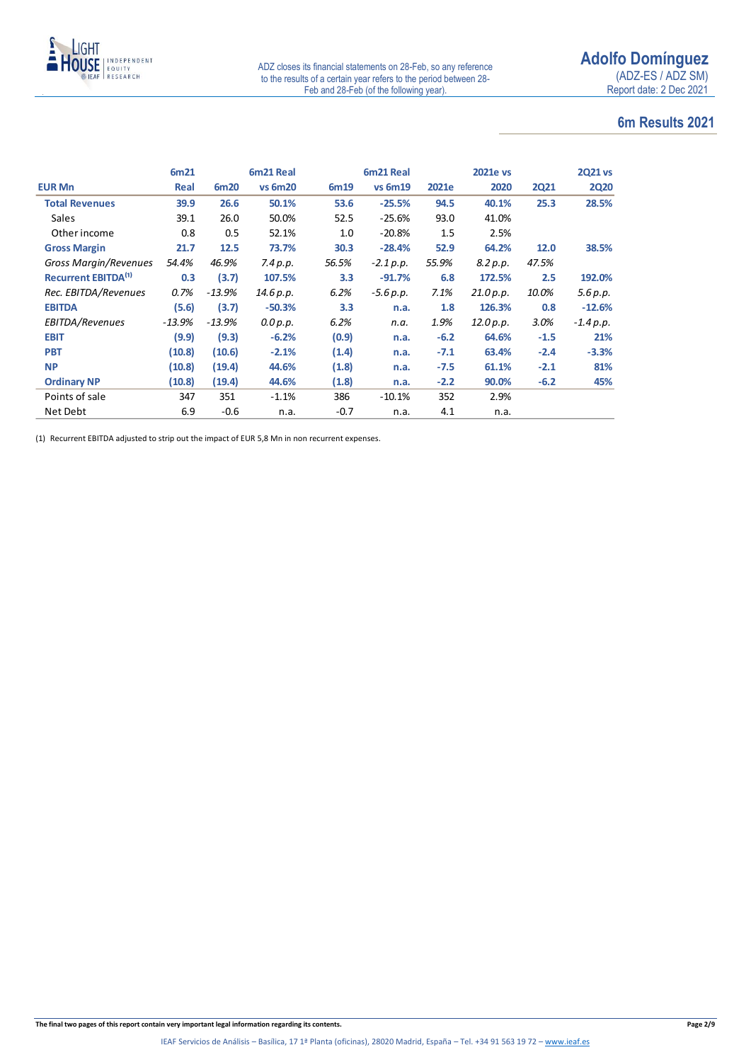

### **6m Results 2021**

|                                       | 6m21     |          | 6m21 Real      |        | 6m21 Real      |        | <b>2021e vs</b> |             | <b>2021 vs</b> |
|---------------------------------------|----------|----------|----------------|--------|----------------|--------|-----------------|-------------|----------------|
| <b>EUR Mn</b>                         | Real     | 6m20     | <b>vs 6m20</b> | 6m19   | <b>vs 6m19</b> | 2021e  | 2020            | <b>2Q21</b> | <b>2Q20</b>    |
| <b>Total Revenues</b>                 | 39.9     | 26.6     | 50.1%          | 53.6   | $-25.5%$       | 94.5   | 40.1%           | 25.3        | 28.5%          |
| <b>Sales</b>                          | 39.1     | 26.0     | 50.0%          | 52.5   | $-25.6%$       | 93.0   | 41.0%           |             |                |
| Other income                          | 0.8      | 0.5      | 52.1%          | 1.0    | $-20.8%$       | 1.5    | 2.5%            |             |                |
| <b>Gross Margin</b>                   | 21.7     | 12.5     | 73.7%          | 30.3   | $-28.4%$       | 52.9   | 64.2%           | 12.0        | 38.5%          |
| Gross Margin/Revenues                 | 54.4%    | 46.9%    | 7.4 p.p.       | 56.5%  | $-2.1 p.p.$    | 55.9%  | 8.2 p.p.        | 47.5%       |                |
| <b>Recurrent EBITDA<sup>(1)</sup></b> | 0.3      | (3.7)    | 107.5%         | 3.3    | $-91.7%$       | 6.8    | 172.5%          | 2.5         | 192.0%         |
| Rec. EBITDA/Revenues                  | 0.7%     | $-13.9%$ | 14.6 p.p.      | 6.2%   | $-5.6 p.p.$    | 7.1%   | 21.0 p.p.       | 10.0%       | 5.6 p.p.       |
| <b>EBITDA</b>                         | (5.6)    | (3.7)    | $-50.3%$       | 3.3    | n.a.           | 1.8    | 126.3%          | 0.8         | $-12.6%$       |
| EBITDA/Revenues                       | $-13.9%$ | $-13.9%$ | 0.0 p.p.       | 6.2%   | n.a.           | 1.9%   | 12.0 p.p.       | 3.0%        | $-1.4 p.p.$    |
| <b>EBIT</b>                           | (9.9)    | (9.3)    | $-6.2%$        | (0.9)  | n.a.           | $-6.2$ | 64.6%           | $-1.5$      | 21%            |
| <b>PBT</b>                            | (10.8)   | (10.6)   | $-2.1%$        | (1.4)  | n.a.           | $-7.1$ | 63.4%           | $-2.4$      | $-3.3%$        |
| <b>NP</b>                             | (10.8)   | (19.4)   | 44.6%          | (1.8)  | n.a.           | $-7.5$ | 61.1%           | $-2.1$      | 81%            |
| <b>Ordinary NP</b>                    | (10.8)   | (19.4)   | 44.6%          | (1.8)  | n.a.           | $-2.2$ | 90.0%           | $-6.2$      | 45%            |
| Points of sale                        | 347      | 351      | $-1.1%$        | 386    | $-10.1%$       | 352    | 2.9%            |             |                |
| Net Debt                              | 6.9      | $-0.6$   | n.a.           | $-0.7$ | n.a.           | 4.1    | n.a.            |             |                |

(1) Recurrent EBITDA adjusted to strip out the impact of EUR 5,8 Mn in non recurrent expenses.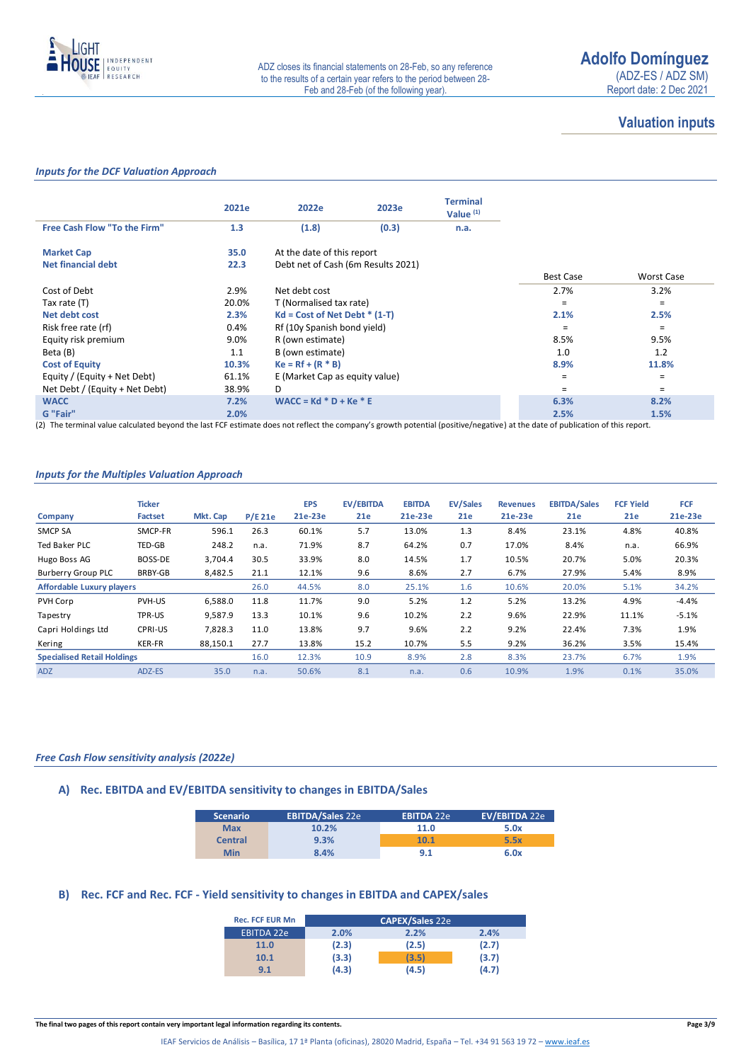

### **Valuation inputs**

### *Inputs for the DCF Valuation Approach*

|                                | 2021e   | 2022e                              | 2023e | <b>Terminal</b><br>Value $(1)$ |                  |            |
|--------------------------------|---------|------------------------------------|-------|--------------------------------|------------------|------------|
| Free Cash Flow "To the Firm"   | 1.3     | (1.8)                              | (0.3) | n.a.                           |                  |            |
| <b>Market Cap</b>              | 35.0    | At the date of this report         |       |                                |                  |            |
| <b>Net financial debt</b>      | 22.3    | Debt net of Cash (6m Results 2021) |       |                                | <b>Best Case</b> | Worst Case |
| Cost of Debt                   | 2.9%    | Net debt cost                      |       |                                | 2.7%             | 3.2%       |
|                                |         |                                    |       |                                |                  |            |
| Tax rate (T)                   | 20.0%   | T (Normalised tax rate)            |       |                                | $=$              | $=$        |
| Net debt cost                  | 2.3%    | $Kd = Cost of Net Det * (1-T)$     |       |                                | 2.1%             | 2.5%       |
| Risk free rate (rf)            | 0.4%    | Rf (10y Spanish bond yield)        |       |                                | $=$              | $\equiv$   |
| Equity risk premium            | $9.0\%$ | R (own estimate)                   |       |                                | 8.5%             | 9.5%       |
| Beta (B)                       | 1.1     | B (own estimate)                   |       |                                | 1.0              | 1.2        |
| <b>Cost of Equity</b>          | 10.3%   | $Ke = Rf + (R * B)$                |       |                                | 8.9%             | 11.8%      |
| Equity / (Equity + Net Debt)   | 61.1%   | E (Market Cap as equity value)     |       |                                | $=$              | $\equiv$   |
| Net Debt / (Equity + Net Debt) | 38.9%   | D                                  |       |                                | =                | $=$        |
| <b>WACC</b>                    | 7.2%    | $WACC = Kd * D + Ke * E$           |       |                                | 6.3%             | 8.2%       |
| G "Fair"                       | 2.0%    |                                    |       |                                | 2.5%             | 1.5%       |

(2) The terminal value calculated beyond the last FCF estimate does not reflect the company's growth potential (positive/negative) at the date of publication of this report.

### *Inputs for the Multiples Valuation Approach*

|                                    | <b>Ticker</b>  |          |           | <b>EPS</b> | <b>EV/EBITDA</b> | <b>EBITDA</b> | <b>EV/Sales</b> | <b>Revenues</b> | <b>EBITDA/Sales</b> | <b>FCF Yield</b> | <b>FCF</b> |
|------------------------------------|----------------|----------|-----------|------------|------------------|---------------|-----------------|-----------------|---------------------|------------------|------------|
| Company                            | Factset        | Mkt. Cap | $P/E$ 21e | 21e-23e    | 21e              | 21e-23e       | 21e             | 21e-23e         | 21e                 | 21e              | 21e-23e    |
| SMCP SA                            | SMCP-FR        | 596.1    | 26.3      | 60.1%      | 5.7              | 13.0%         | 1.3             | 8.4%            | 23.1%               | 4.8%             | 40.8%      |
| Ted Baker PLC                      | TED-GB         | 248.2    | n.a.      | 71.9%      | 8.7              | 64.2%         | 0.7             | 17.0%           | 8.4%                | n.a.             | 66.9%      |
| Hugo Boss AG                       | BOSS-DE        | 3,704.4  | 30.5      | 33.9%      | 8.0              | 14.5%         | 1.7             | 10.5%           | 20.7%               | 5.0%             | 20.3%      |
| <b>Burberry Group PLC</b>          | BRBY-GB        | 8,482.5  | 21.1      | 12.1%      | 9.6              | 8.6%          | 2.7             | 6.7%            | 27.9%               | 5.4%             | 8.9%       |
| <b>Affordable Luxury players</b>   |                |          | 26.0      | 44.5%      | 8.0              | 25.1%         | 1.6             | 10.6%           | 20.0%               | 5.1%             | 34.2%      |
| PVH Corp                           | PVH-US         | 6,588.0  | 11.8      | 11.7%      | 9.0              | 5.2%          | 1.2             | 5.2%            | 13.2%               | 4.9%             | $-4.4%$    |
| Tapestry                           | TPR-US         | 9,587.9  | 13.3      | 10.1%      | 9.6              | 10.2%         | 2.2             | 9.6%            | 22.9%               | 11.1%            | $-5.1%$    |
| Capri Holdings Ltd                 | <b>CPRI-US</b> | 7.828.3  | 11.0      | 13.8%      | 9.7              | 9.6%          | 2.2             | 9.2%            | 22.4%               | 7.3%             | 1.9%       |
| Kering                             | <b>KER-FR</b>  | 88,150.1 | 27.7      | 13.8%      | 15.2             | 10.7%         | 5.5             | 9.2%            | 36.2%               | 3.5%             | 15.4%      |
| <b>Specialised Retail Holdings</b> |                |          | 16.0      | 12.3%      | 10.9             | 8.9%          | 2.8             | 8.3%            | 23.7%               | 6.7%             | 1.9%       |
| <b>ADZ</b>                         | ADZ-ES         | 35.0     | n.a.      | 50.6%      | 8.1              | n.a.          | 0.6             | 10.9%           | 1.9%                | 0.1%             | 35.0%      |

### *Free Cash Flow sensitivity analysis (2022e)*

### **A) Rec. EBITDA and EV/EBITDA sensitivity to changes in EBITDA/Sales**

| <b>Scenario</b> | <b>EBITDA/Sales 22e</b> | <b>EBITDA 22e</b> | EV/EBITDA 22e |
|-----------------|-------------------------|-------------------|---------------|
| <b>Max</b>      | 10.2%                   | 11.0              | 5.0x          |
| <b>Central</b>  | 9.3%                    | <b>10.1</b>       | 5.5x          |
| Min             | 8.4%                    | 9.1               | 6.0x          |

### **B) Rec. FCF and Rec. FCF - Yield sensitivity to changes in EBITDA and CAPEX/sales**

| <b>Rec. FCF EUR Mn</b> |       | <b>CAPEX/Sales 22e</b> |       |
|------------------------|-------|------------------------|-------|
| <b>EBITDA 22e</b>      | 2.0%  | 2.2%                   | 2.4%  |
| 11.0                   | (2.3) | (2.5)                  | (2.7) |
| 10.1                   | (3.3) | (3.5)                  | (3.7) |
| 9.1                    | (4.3) | (4.5)                  | (4.7) |

**The final two pages of this report contain very important legal information regarding its contents. Page 3/9**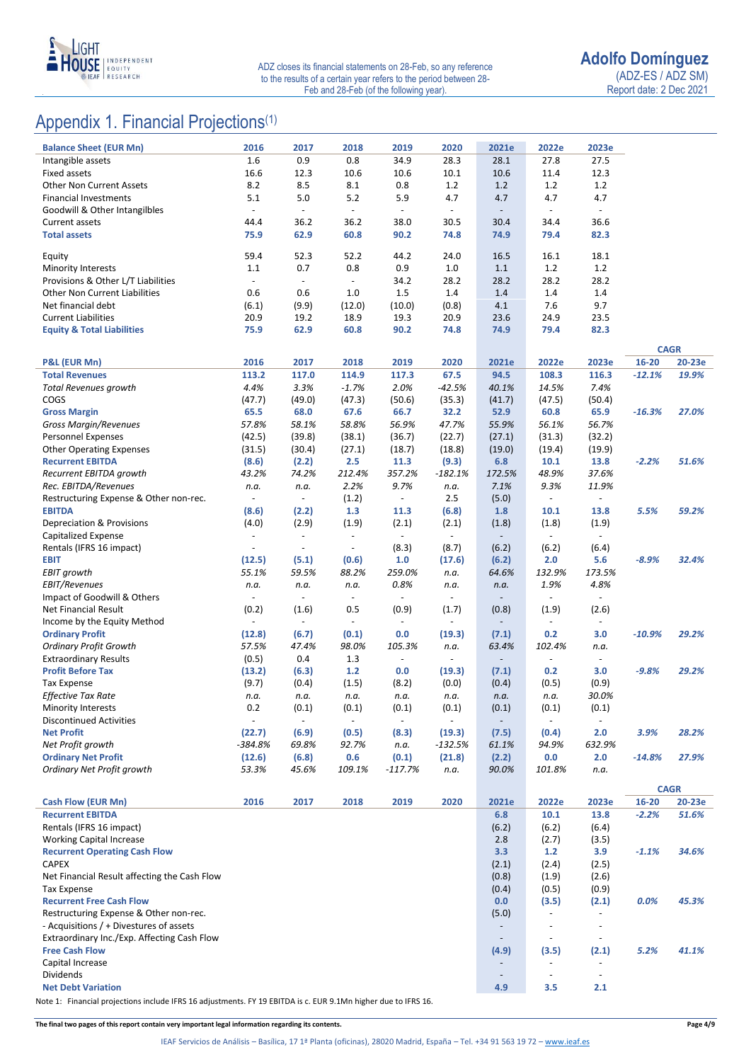

# Appendix 1. Financial Projections<sup>(1)</sup>

| <b>Balance Sheet (EUR Mn)</b>                                                          | 2016                     | 2017                     | 2018                     | 2019                     | 2020                     | 2021e                    | 2022e                                      | 2023e                                                |           |             |
|----------------------------------------------------------------------------------------|--------------------------|--------------------------|--------------------------|--------------------------|--------------------------|--------------------------|--------------------------------------------|------------------------------------------------------|-----------|-------------|
| Intangible assets                                                                      | 1.6                      | 0.9                      | 0.8                      | 34.9                     | 28.3                     | 28.1                     | 27.8                                       | 27.5                                                 |           |             |
| <b>Fixed assets</b>                                                                    | 16.6                     | 12.3                     | 10.6                     | 10.6                     | 10.1                     | 10.6                     | 11.4                                       | 12.3                                                 |           |             |
| Other Non Current Assets                                                               | 8.2                      | 8.5                      | 8.1                      | 0.8                      | 1.2                      | 1.2                      | 1.2                                        | 1.2                                                  |           |             |
| <b>Financial Investments</b>                                                           | 5.1                      | 5.0                      | 5.2                      | 5.9                      | 4.7                      | 4.7                      | 4.7                                        | 4.7                                                  |           |             |
| Goodwill & Other Intangilbles                                                          |                          | $\blacksquare$           | $\blacksquare$           | $\overline{\phantom{a}}$ | $\overline{\phantom{a}}$ | $\blacksquare$           | $\blacksquare$                             |                                                      |           |             |
| <b>Current assets</b>                                                                  | 44.4                     | 36.2                     | 36.2                     | 38.0                     | 30.5                     | 30.4                     | 34.4                                       | 36.6                                                 |           |             |
| <b>Total assets</b>                                                                    | 75.9                     | 62.9                     | 60.8                     | 90.2                     | 74.8                     | 74.9                     | 79.4                                       | 82.3                                                 |           |             |
| Equity                                                                                 | 59.4                     | 52.3                     | 52.2                     | 44.2                     | 24.0                     | 16.5                     | 16.1                                       | 18.1                                                 |           |             |
| <b>Minority Interests</b>                                                              | 1.1                      | 0.7                      | 0.8                      | 0.9                      | 1.0                      | $1.1$                    | 1.2                                        | 1.2                                                  |           |             |
| Provisions & Other L/T Liabilities                                                     | $\overline{\phantom{a}}$ | $\blacksquare$           | $\overline{\phantom{a}}$ | 34.2                     | 28.2                     | 28.2                     | 28.2                                       | 28.2                                                 |           |             |
| <b>Other Non Current Liabilities</b>                                                   | 0.6                      | 0.6                      | 1.0                      | 1.5                      | 1.4                      | 1.4                      | 1.4                                        | 1.4                                                  |           |             |
| Net financial debt                                                                     | (6.1)                    | (9.9)                    | (12.0)                   | (10.0)                   | (0.8)                    | 4.1                      | 7.6                                        | 9.7                                                  |           |             |
| <b>Current Liabilities</b>                                                             | 20.9                     | 19.2                     | 18.9                     | 19.3                     | 20.9                     | 23.6                     | 24.9                                       | 23.5                                                 |           |             |
| <b>Equity &amp; Total Liabilities</b>                                                  | 75.9                     | 62.9                     | 60.8                     | 90.2                     | 74.8                     | 74.9                     | 79.4                                       | 82.3                                                 |           |             |
|                                                                                        |                          |                          |                          |                          |                          |                          |                                            |                                                      |           | <b>CAGR</b> |
| P&L (EUR Mn)                                                                           | 2016                     | 2017                     | 2018                     | 2019                     | 2020                     | 2021e                    | 2022e                                      | 2023e                                                | 16-20     | 20-23e      |
| <b>Total Revenues</b>                                                                  | 113.2                    | 117.0                    | 114.9                    | 117.3                    | 67.5                     | 94.5                     | 108.3                                      | 116.3                                                | $-12.1%$  | 19.9%       |
| Total Revenues growth                                                                  | 4.4%                     | 3.3%                     | $-1.7%$                  | 2.0%                     | $-42.5%$                 | 40.1%                    | 14.5%                                      | 7.4%                                                 |           |             |
| COGS                                                                                   | (47.7)                   | (49.0)                   | (47.3)                   | (50.6)                   | (35.3)                   | (41.7)                   | (47.5)                                     | (50.4)                                               |           |             |
| <b>Gross Margin</b>                                                                    | 65.5                     | 68.0                     | 67.6                     | 66.7                     | 32.2                     | 52.9                     | 60.8                                       | 65.9                                                 | $-16.3%$  | 27.0%       |
| <b>Gross Margin/Revenues</b>                                                           | 57.8%                    | 58.1%                    | 58.8%                    | 56.9%                    | 47.7%                    | 55.9%                    | 56.1%                                      | 56.7%                                                |           |             |
| Personnel Expenses                                                                     | (42.5)                   | (39.8)                   | (38.1)                   | (36.7)                   | (22.7)                   | (27.1)                   | (31.3)                                     | (32.2)                                               |           |             |
| <b>Other Operating Expenses</b>                                                        | (31.5)                   | (30.4)                   | (27.1)                   | (18.7)                   | (18.8)                   | (19.0)                   | (19.4)                                     | (19.9)                                               |           |             |
| <b>Recurrent EBITDA</b>                                                                | (8.6)                    | (2.2)                    | 2.5                      | 11.3                     | (9.3)                    | 6.8                      | 10.1                                       | 13.8                                                 | $-2.2%$   | 51.6%       |
| Recurrent EBITDA growth                                                                | 43.2%                    | 74.2%                    | 212.4%                   | 357.2%                   | $-182.1%$                | 172.5%                   | 48.9%                                      | 37.6%                                                |           |             |
| Rec. EBITDA/Revenues                                                                   | n.a.                     | n.a.                     | 2.2%                     | 9.7%                     | n.a.                     | 7.1%                     | 9.3%                                       | 11.9%                                                |           |             |
| Restructuring Expense & Other non-rec.<br><b>EBITDA</b>                                | $\overline{\phantom{a}}$ | $\overline{\phantom{a}}$ | (1.2)<br>1.3             | $\overline{\phantom{a}}$ | 2.5                      | (5.0)<br>1.8             | $\blacksquare$                             | $\overline{\phantom{a}}$                             | 5.5%      | 59.2%       |
| Depreciation & Provisions                                                              | (8.6)<br>(4.0)           | (2.2)<br>(2.9)           | (1.9)                    | 11.3<br>(2.1)            | (6.8)<br>(2.1)           | (1.8)                    | 10.1<br>(1.8)                              | 13.8<br>(1.9)                                        |           |             |
| Capitalized Expense                                                                    |                          | $\overline{\phantom{a}}$ | $\overline{\phantom{a}}$ | $\overline{\phantom{a}}$ | $\overline{\phantom{a}}$ | $\overline{\phantom{a}}$ | $\sim$                                     | $\overline{\phantom{a}}$                             |           |             |
| Rentals (IFRS 16 impact)                                                               |                          | $\overline{\phantom{a}}$ | $\overline{\phantom{a}}$ | (8.3)                    | (8.7)                    | (6.2)                    | (6.2)                                      | (6.4)                                                |           |             |
| <b>EBIT</b>                                                                            | (12.5)                   | (5.1)                    | (0.6)                    | 1.0                      | (17.6)                   | (6.2)                    | 2.0                                        | 5.6                                                  | $-8.9%$   | 32.4%       |
| <b>EBIT growth</b>                                                                     | 55.1%                    | 59.5%                    | 88.2%                    | 259.0%                   | n.a.                     | 64.6%                    | 132.9%                                     | 173.5%                                               |           |             |
| <b>EBIT/Revenues</b>                                                                   | n.a.                     | n.a.                     | n.a.                     | 0.8%                     | n.a.                     | n.a.                     | 1.9%                                       | 4.8%                                                 |           |             |
| Impact of Goodwill & Others                                                            | $\blacksquare$           | $\overline{\phantom{a}}$ | $\blacksquare$           | $\blacksquare$           | $\overline{\phantom{a}}$ | $\overline{\phantom{a}}$ | $\overline{\phantom{a}}$                   | $\overline{\phantom{a}}$                             |           |             |
| <b>Net Financial Result</b>                                                            | (0.2)                    | (1.6)                    | 0.5                      | (0.9)                    | (1.7)                    | (0.8)                    | (1.9)                                      | (2.6)                                                |           |             |
| Income by the Equity Method                                                            | $\overline{\phantom{a}}$ | $\overline{\phantom{a}}$ | $\overline{\phantom{a}}$ | $\overline{\phantom{a}}$ | $\overline{\phantom{a}}$ | $\overline{\phantom{a}}$ | $\overline{\phantom{a}}$                   | $\overline{\phantom{a}}$                             |           |             |
| <b>Ordinary Profit</b>                                                                 | (12.8)                   | (6.7)                    | (0.1)                    | 0.0                      | (19.3)                   | (7.1)                    | 0.2                                        | 3.0                                                  | $-10.9%$  | 29.2%       |
| <b>Ordinary Profit Growth</b>                                                          | 57.5%                    | 47.4%                    | 98.0%                    | 105.3%                   | n.a.                     | 63.4%                    | 102.4%                                     | n.a.                                                 |           |             |
| <b>Extraordinary Results</b>                                                           | (0.5)                    | 0.4                      | 1.3                      | $\overline{\phantom{a}}$ | $\overline{\phantom{a}}$ | $\overline{a}$           |                                            | $\blacksquare$                                       |           |             |
| <b>Profit Before Tax</b>                                                               | (13.2)                   | (6.3)<br>(0.4)           | $1.2$                    | 0.0                      | (19.3)                   | (7.1)<br>(0.4)           | 0.2                                        | 3.0<br>(0.9)                                         | $-9.8%$   | 29.2%       |
| <b>Tax Expense</b><br>Effective Tax Rate                                               | (9.7)<br>n.a.            | n.a.                     | (1.5)<br>n.a.            | (8.2)<br>n.a.            | (0.0)<br>n.a.            | n.a.                     | (0.5)<br>n.a.                              | 30.0%                                                |           |             |
| Minority Interests                                                                     | 0.2                      | (0.1)                    | (0.1)                    | (0.1)                    | (0.1)                    | (0.1)                    | (0.1)                                      | (0.1)                                                |           |             |
| <b>Discontinued Activities</b>                                                         |                          | $\overline{\phantom{a}}$ |                          | $\overline{\phantom{a}}$ |                          |                          |                                            |                                                      |           |             |
| <b>Net Profit</b>                                                                      | (22.7)                   | (6.9)                    | (0.5)                    | (8.3)                    | (19.3)                   | (7.5)                    | (0.4)                                      | 2.0                                                  | 3.9%      | 28.2%       |
| Net Profit growth                                                                      | $-384.8%$                | 69.8%                    | 92.7%                    | n.a.                     | -132.5%                  | 61.1%                    | 94.9%                                      | 632.9%                                               |           |             |
| <b>Ordinary Net Profit</b>                                                             | (12.6)                   | (6.8)                    | 0.6                      | (0.1)                    | (21.8)                   | (2.2)                    | 0.0                                        | 2.0                                                  | $-14.8%$  | 27.9%       |
| Ordinary Net Profit growth                                                             | 53.3%                    | 45.6%                    | 109.1%                   | $-117.7%$                | n.a.                     | 90.0%                    | 101.8%                                     | n.a.                                                 |           |             |
|                                                                                        |                          |                          |                          |                          |                          |                          |                                            |                                                      |           | <b>CAGR</b> |
| Cash Flow (EUR Mn)                                                                     | 2016                     | 2017                     | 2018                     | 2019                     | 2020                     | 2021e                    | 2022e                                      | 2023e                                                | $16 - 20$ | 20-23e      |
| <b>Recurrent EBITDA</b>                                                                |                          |                          |                          |                          |                          | 6.8                      | 10.1                                       | 13.8                                                 | $-2.2%$   | 51.6%       |
| Rentals (IFRS 16 impact)                                                               |                          |                          |                          |                          |                          | (6.2)                    | (6.2)                                      | (6.4)                                                |           |             |
| <b>Working Capital Increase</b>                                                        |                          |                          |                          |                          |                          | 2.8                      | (2.7)                                      | (3.5)                                                |           |             |
| <b>Recurrent Operating Cash Flow</b>                                                   |                          |                          |                          |                          |                          | 3.3                      | $1.2$                                      | 3.9                                                  | $-1.1%$   | 34.6%       |
| <b>CAPEX</b>                                                                           |                          |                          |                          |                          |                          | (2.1)                    | (2.4)                                      | (2.5)                                                |           |             |
| Net Financial Result affecting the Cash Flow                                           |                          |                          |                          |                          |                          | (0.8)                    | (1.9)                                      | (2.6)                                                |           |             |
| <b>Tax Expense</b>                                                                     |                          |                          |                          |                          |                          | (0.4)                    | (0.5)                                      | (0.9)                                                |           |             |
| <b>Recurrent Free Cash Flow</b>                                                        |                          |                          |                          |                          |                          | 0.0                      | (3.5)                                      | (2.1)                                                | $0.0\%$   | 45.3%       |
| Restructuring Expense & Other non-rec.                                                 |                          |                          |                          |                          |                          | (5.0)                    | $\blacksquare$                             | $\overline{\phantom{a}}$<br>$\overline{\phantom{a}}$ |           |             |
| - Acquisitions / + Divestures of assets<br>Extraordinary Inc./Exp. Affecting Cash Flow |                          |                          |                          |                          |                          | $\overline{\phantom{a}}$ | $\overline{\phantom{a}}$<br>$\blacksquare$ | $\blacksquare$                                       |           |             |
| <b>Free Cash Flow</b>                                                                  |                          |                          |                          |                          |                          | (4.9)                    | (3.5)                                      | (2.1)                                                | 5.2%      | 41.1%       |
| Capital Increase                                                                       |                          |                          |                          |                          |                          | $\overline{\phantom{a}}$ | $\sim$                                     | $\overline{\phantom{a}}$                             |           |             |
| Dividends                                                                              |                          |                          |                          |                          |                          |                          | $\overline{\phantom{a}}$                   | $\overline{\phantom{a}}$                             |           |             |
| <b>Net Debt Variation</b>                                                              |                          |                          |                          |                          |                          | 4.9                      | 3.5                                        | 2.1                                                  |           |             |
|                                                                                        |                          |                          |                          |                          |                          |                          |                                            |                                                      |           |             |

Note 1: Financial projections include IFRS 16 adjustments. FY 19 EBITDA is c. EUR 9.1Mn higher due to IFRS 16.

**The final two pages of this report contain very important legal information regarding its contents. Page 4/9**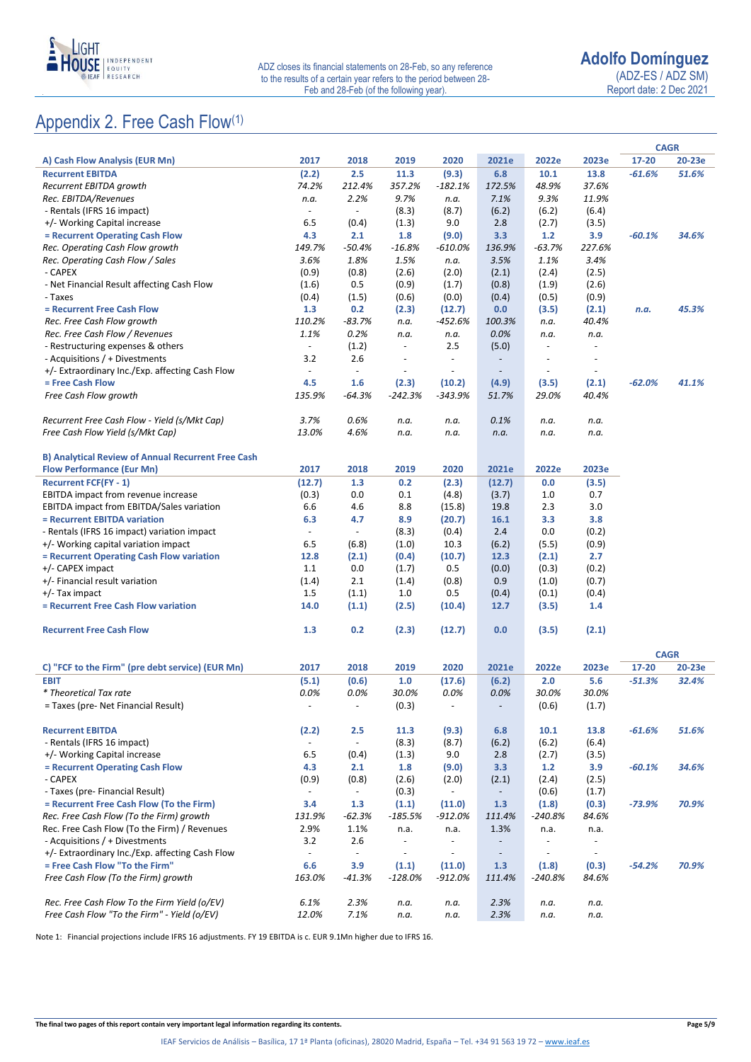

Report date: 2 Dec 2021

# Appendix 2. Free Cash Flow(1)

|                                                           |                          |                          |                          |                          |                          |                          |                          |          | <b>CAGR</b> |
|-----------------------------------------------------------|--------------------------|--------------------------|--------------------------|--------------------------|--------------------------|--------------------------|--------------------------|----------|-------------|
| A) Cash Flow Analysis (EUR Mn)                            | 2017                     | 2018                     | 2019                     | 2020                     | 2021e                    | 2022e                    | 2023e                    | 17-20    | 20-23e      |
| <b>Recurrent EBITDA</b>                                   | (2.2)                    | 2.5                      | 11.3                     | (9.3)                    | 6.8                      | 10.1                     | 13.8                     | $-61.6%$ | 51.6%       |
| Recurrent EBITDA growth                                   | 74.2%                    | 212.4%                   | 357.2%                   | $-182.1%$                | 172.5%                   | 48.9%                    | 37.6%                    |          |             |
| Rec. EBITDA/Revenues                                      | n.a.                     | 2.2%                     | 9.7%                     | n.a.                     | 7.1%                     | 9.3%                     | 11.9%                    |          |             |
| - Rentals (IFRS 16 impact)                                | $\overline{\phantom{a}}$ | $\overline{\phantom{a}}$ | (8.3)                    | (8.7)                    | (6.2)                    | (6.2)                    | (6.4)                    |          |             |
| +/- Working Capital increase                              | 6.5                      | (0.4)                    | (1.3)                    | 9.0                      | 2.8                      | (2.7)                    | (3.5)                    |          |             |
| = Recurrent Operating Cash Flow                           | 4.3                      | 2.1                      | 1.8                      | (9.0)                    | 3.3                      | 1.2                      | 3.9                      | $-60.1%$ | 34.6%       |
| Rec. Operating Cash Flow growth                           | 149.7%                   | $-50.4%$                 | $-16.8%$                 | -610.0%                  | 136.9%                   | $-63.7%$                 | 227.6%                   |          |             |
| Rec. Operating Cash Flow / Sales                          | 3.6%                     | 1.8%                     | 1.5%                     | n.a.                     | 3.5%                     | 1.1%                     | 3.4%                     |          |             |
| - CAPEX                                                   | (0.9)                    | (0.8)                    | (2.6)                    | (2.0)                    | (2.1)                    | (2.4)                    | (2.5)                    |          |             |
| - Net Financial Result affecting Cash Flow                | (1.6)                    | 0.5                      | (0.9)                    | (1.7)                    | (0.8)                    | (1.9)                    | (2.6)                    |          |             |
| - Taxes                                                   | (0.4)                    | (1.5)                    | (0.6)                    | (0.0)                    | (0.4)                    | (0.5)                    | (0.9)                    |          |             |
| = Recurrent Free Cash Flow                                | 1.3                      | 0.2                      | (2.3)                    | (12.7)                   | 0.0                      | (3.5)                    | (2.1)                    | n.a.     | 45.3%       |
| Rec. Free Cash Flow growth                                | 110.2%                   | $-83.7%$                 | n.a.                     | -452.6%                  | 100.3%                   | n.a.                     | 40.4%                    |          |             |
| Rec. Free Cash Flow / Revenues                            | 1.1%                     | 0.2%                     | n.a.                     | n.a.                     | 0.0%                     | n.a.                     | n.a.                     |          |             |
| - Restructuring expenses & others                         | $\overline{\phantom{a}}$ | (1.2)                    | $\blacksquare$           | 2.5                      | (5.0)                    | $\blacksquare$           |                          |          |             |
| - Acquisitions / + Divestments                            | 3.2                      | 2.6                      | $\overline{\phantom{a}}$ | ÷,                       | $\overline{\phantom{a}}$ | $\overline{\phantom{a}}$ |                          |          |             |
| +/- Extraordinary Inc./Exp. affecting Cash Flow           | $\overline{\phantom{a}}$ | $\sim$                   | $\overline{\phantom{a}}$ |                          | $\overline{\phantom{a}}$ | $\overline{\phantom{a}}$ |                          |          |             |
| = Free Cash Flow                                          | 4.5                      | 1.6                      | (2.3)                    | (10.2)                   | (4.9)                    | (3.5)                    | (2.1)                    | $-62.0%$ | 41.1%       |
| Free Cash Flow growth                                     | 135.9%                   | $-64.3%$                 | $-242.3%$                | $-343.9%$                | 51.7%                    | 29.0%                    | 40.4%                    |          |             |
| Recurrent Free Cash Flow - Yield (s/Mkt Cap)              | 3.7%                     | 0.6%                     | n.a.                     | n.a.                     | 0.1%                     | n.a.                     | n.a.                     |          |             |
| Free Cash Flow Yield (s/Mkt Cap)                          | 13.0%                    | 4.6%                     | n.a.                     | n.a.                     | n.a.                     | n.a.                     | n.a.                     |          |             |
|                                                           |                          |                          |                          |                          |                          |                          |                          |          |             |
| <b>B) Analytical Review of Annual Recurrent Free Cash</b> |                          |                          |                          |                          |                          |                          |                          |          |             |
| <b>Flow Performance (Eur Mn)</b>                          | 2017                     | 2018                     | 2019                     | 2020                     | 2021e                    | 2022e                    | 2023e                    |          |             |
| <b>Recurrent FCF(FY - 1)</b>                              | (12.7)                   | 1.3                      | 0.2                      | (2.3)                    | (12.7)                   | 0.0                      | (3.5)                    |          |             |
| EBITDA impact from revenue increase                       | (0.3)                    | 0.0                      | 0.1                      | (4.8)                    | (3.7)                    | 1.0                      | 0.7                      |          |             |
| EBITDA impact from EBITDA/Sales variation                 | 6.6                      | 4.6                      | 8.8                      | (15.8)                   | 19.8                     | 2.3                      | 3.0                      |          |             |
| = Recurrent EBITDA variation                              | 6.3                      | 4.7                      | 8.9                      | (20.7)                   | 16.1                     | 3.3                      | 3.8                      |          |             |
| - Rentals (IFRS 16 impact) variation impact               | $\overline{\phantom{a}}$ | $\overline{\phantom{a}}$ | (8.3)                    | (0.4)                    | 2.4                      | 0.0                      | (0.2)                    |          |             |
| +/- Working capital variation impact                      | 6.5                      | (6.8)                    | (1.0)                    | 10.3                     | (6.2)                    | (5.5)                    | (0.9)                    |          |             |
| = Recurrent Operating Cash Flow variation                 | 12.8                     | (2.1)                    | (0.4)                    | (10.7)                   | 12.3                     | (2.1)                    | 2.7                      |          |             |
| +/- CAPEX impact                                          | 1.1                      | 0.0                      | (1.7)                    | 0.5                      | (0.0)                    | (0.3)                    | (0.2)                    |          |             |
| +/- Financial result variation                            | (1.4)                    | 2.1                      | (1.4)                    | (0.8)                    | 0.9                      | (1.0)                    | (0.7)                    |          |             |
| $+/-$ Tax impact                                          | 1.5                      | (1.1)                    | 1.0                      | 0.5                      | (0.4)                    | (0.1)                    | (0.4)                    |          |             |
| = Recurrent Free Cash Flow variation                      | 14.0                     | (1.1)                    | (2.5)                    | (10.4)                   | 12.7                     | (3.5)                    | 1.4                      |          |             |
| <b>Recurrent Free Cash Flow</b>                           | 1.3                      | 0.2                      | (2.3)                    | (12.7)                   | 0.0                      | (3.5)                    | (2.1)                    |          |             |
|                                                           |                          |                          |                          |                          |                          |                          |                          |          |             |
|                                                           |                          |                          |                          |                          |                          |                          |                          |          | <b>CAGR</b> |
| C) "FCF to the Firm" (pre debt service) (EUR Mn)          | 2017                     | 2018                     | 2019                     | 2020                     | 2021e                    | 2022e                    | 2023e                    | 17-20    | 20-23e      |
| <b>EBIT</b>                                               | (5.1)                    | (0.6)                    | 1.0                      | (17.6)                   | (6.2)                    | 2.0                      | 5.6                      | $-51.3%$ | 32.4%       |
| * Theoretical Tax rate                                    | 0.0%                     | 0.0%                     | 30.0%                    | 0.0%                     | 0.0%                     | 30.0%                    | 30.0%                    |          |             |
| = Taxes (pre- Net Financial Result)                       | $\overline{\phantom{a}}$ | $\sim$                   | (0.3)                    | $\sim$                   | $\overline{\phantom{a}}$ | (0.6)                    | (1.7)                    |          |             |
| <b>Recurrent EBITDA</b>                                   | (2.2)                    | 2.5                      | 11.3                     | (9.3)                    | 6.8                      | 10.1                     | 13.8                     | $-61.6%$ | 51.6%       |
| - Rentals (IFRS 16 impact)                                | $\overline{\phantom{a}}$ | $\overline{\phantom{a}}$ | (8.3)                    | (8.7)                    | (6.2)                    | (6.2)                    | (6.4)                    |          |             |
| +/- Working Capital increase                              | 6.5                      | (0.4)                    | (1.3)                    | 9.0                      | 2.8                      | (2.7)                    | (3.5)                    |          |             |
| = Recurrent Operating Cash Flow                           | 4.3                      | 2.1                      | 1.8                      | (9.0)                    | 3.3                      | $1.2$                    | 3.9                      | $-60.1%$ | 34.6%       |
| - CAPEX                                                   | (0.9)                    | (0.8)                    | (2.6)                    | (2.0)                    | (2.1)                    | (2.4)                    | (2.5)                    |          |             |
| - Taxes (pre- Financial Result)                           | $\overline{\phantom{a}}$ | $\overline{\phantom{a}}$ | (0.3)                    | $\blacksquare$           | $\overline{\phantom{a}}$ | (0.6)                    | (1.7)                    |          |             |
| = Recurrent Free Cash Flow (To the Firm)                  | 3.4                      | 1.3                      | (1.1)                    | (11.0)                   | 1.3                      | (1.8)                    | (0.3)                    | $-73.9%$ | 70.9%       |
| Rec. Free Cash Flow (To the Firm) growth                  | 131.9%                   | $-62.3%$                 | $-185.5%$                | $-912.0%$                | 111.4%                   | $-240.8%$                | 84.6%                    |          |             |
| Rec. Free Cash Flow (To the Firm) / Revenues              | 2.9%                     | 1.1%                     | n.a.                     | n.a.                     | 1.3%                     | n.a.                     | n.a.                     |          |             |
| - Acquisitions / + Divestments                            | 3.2                      | 2.6                      | $\overline{\phantom{a}}$ | $\overline{\phantom{a}}$ | $\overline{\phantom{a}}$ | $\blacksquare$           |                          |          |             |
| +/- Extraordinary Inc./Exp. affecting Cash Flow           | $\overline{\phantom{a}}$ | $\overline{\phantom{a}}$ | $\overline{\phantom{a}}$ | $\overline{\phantom{a}}$ | $\overline{\phantom{a}}$ | $\overline{\phantom{0}}$ | $\overline{\phantom{a}}$ |          |             |
| = Free Cash Flow "To the Firm"                            | 6.6                      | 3.9                      | (1.1)                    | (11.0)                   | 1.3                      | (1.8)                    | (0.3)                    | $-54.2%$ | 70.9%       |
| Free Cash Flow (To the Firm) growth                       | 163.0%                   | $-41.3%$                 | $-128.0%$                | $-912.0%$                | 111.4%                   | $-240.8%$                | 84.6%                    |          |             |
|                                                           |                          |                          |                          |                          |                          |                          |                          |          |             |
| Rec. Free Cash Flow To the Firm Yield (o/EV)              | 6.1%                     | 2.3%                     | n.a.                     | n.a.                     | 2.3%                     | n.a.                     | n.a.                     |          |             |
| Free Cash Flow "To the Firm" - Yield (o/EV)               | 12.0%                    | 7.1%                     | n.a.                     | n.a.                     | 2.3%                     | n.a.                     | n.a.                     |          |             |

Note 1: Financial projections include IFRS 16 adjustments. FY 19 EBITDA is c. EUR 9.1Mn higher due to IFRS 16.

**The final two pages of this report contain very important legal information regarding its contents. Page 5/9**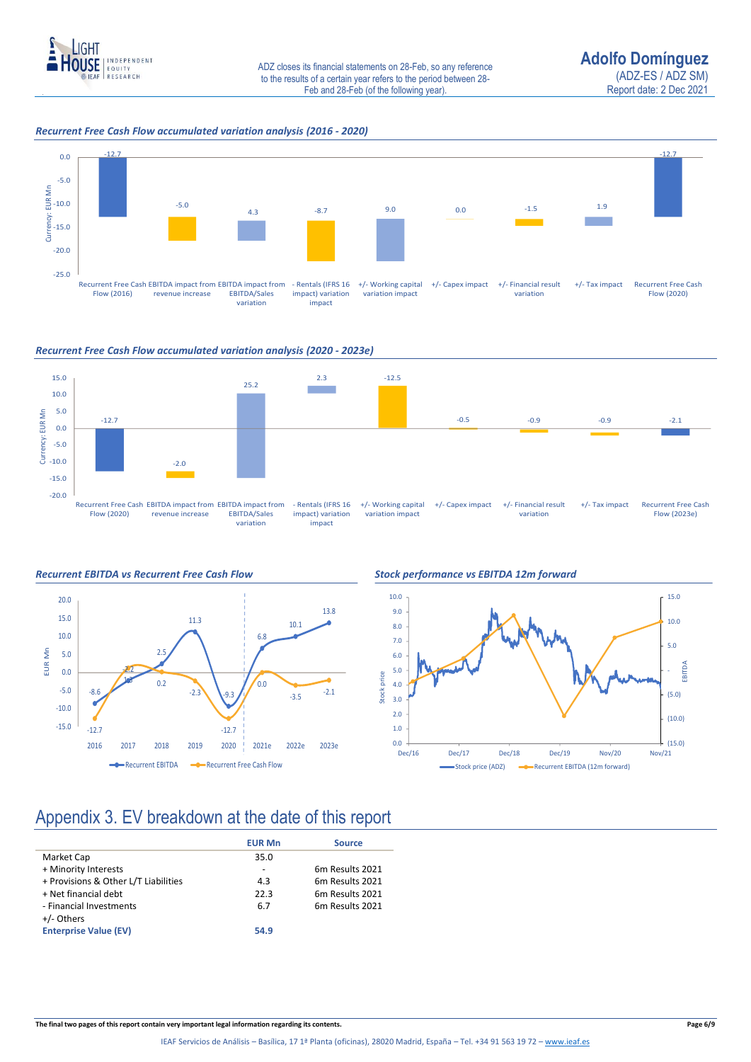

### *Recurrent Free Cash Flow accumulated variation analysis (2016 - 2020)*



### *Recurrent Free Cash Flow accumulated variation analysis (2020 - 2023e)*







### Appendix 3. EV breakdown at the date of this report

|                                      | <b>EUR Mn</b> | <b>Source</b>               |
|--------------------------------------|---------------|-----------------------------|
| Market Cap                           | 35.0          |                             |
| + Minority Interests                 |               | 6m Results 2021             |
| + Provisions & Other L/T Liabilities | 4.3           | 6m Results 2021             |
| + Net financial debt                 | 22.3          | 6 <sub>m</sub> Results 2021 |
| - Financial Investments              | 6.7           | 6m Results 2021             |
| +/- Others                           |               |                             |
| <b>Enterprise Value (EV)</b>         | 54.9          |                             |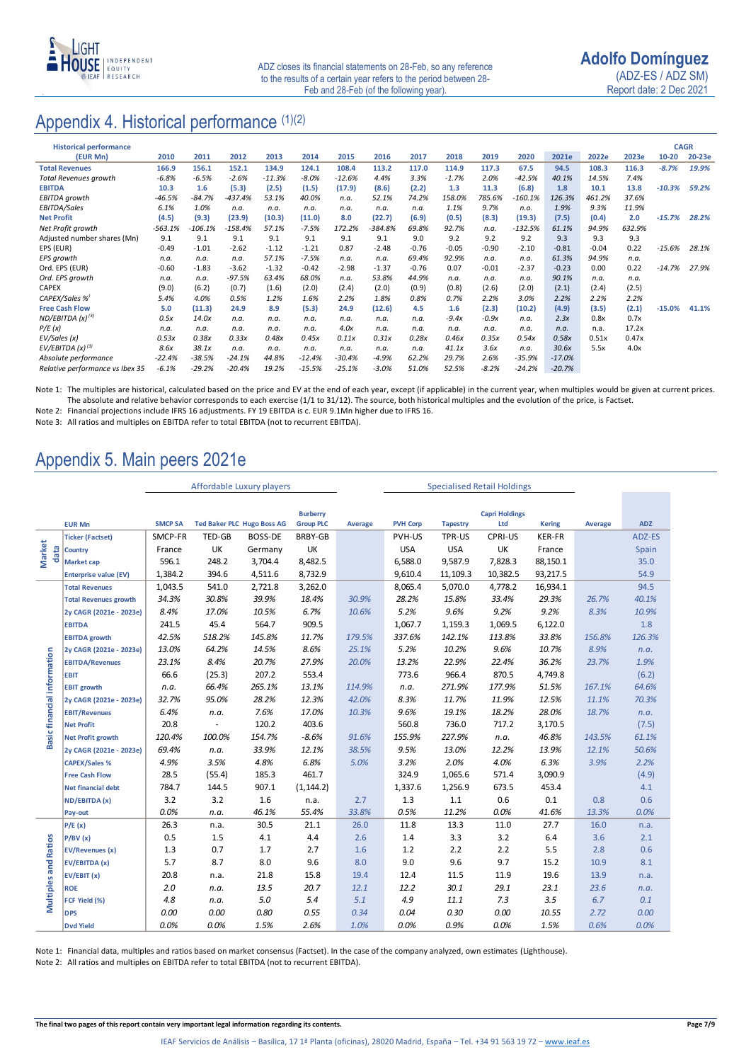

## Appendix 4. Historical performance (1)(2)

| <b>Historical performance</b>   |           |           |           |          |          |          |         |         |         |         |           |          |         |        | <b>CAGR</b> |        |
|---------------------------------|-----------|-----------|-----------|----------|----------|----------|---------|---------|---------|---------|-----------|----------|---------|--------|-------------|--------|
| (EUR Mn)                        | 2010      | 2011      | 2012      | 2013     | 2014     | 2015     | 2016    | 2017    | 2018    | 2019    | 2020      | 2021e    | 2022e   | 2023e  | $10 - 20$   | 20-23e |
| <b>Total Revenues</b>           | 166.9     | 156.1     | 152.1     | 134.9    | 124.1    | 108.4    | 113.2   | 117.0   | 114.9   | 117.3   | 67.5      | 94.5     | 108.3   | 116.3  | $-8.7%$     | 19.9%  |
| <b>Total Revenues growth</b>    | $-6.8%$   | $-6.5%$   | $-2.6%$   | $-11.3%$ | $-8.0%$  | $-12.6%$ | 4.4%    | 3.3%    | $-1.7%$ | 2.0%    | $-42.5%$  | 40.1%    | 14.5%   | 7.4%   |             |        |
| <b>EBITDA</b>                   | 10.3      | 1.6       | (5.3)     | (2.5)    | (1.5)    | (17.9)   | (8.6)   | (2.2)   | 1.3     | 11.3    | (6.8)     | 1.8      | 10.1    | 13.8   | $-10.3%$    | 59.2%  |
| EBITDA growth                   | $-46.5%$  | $-84.7%$  | $-437.4%$ | 53.1%    | 40.0%    | n.a.     | 52.1%   | 74.2%   | 158.0%  | 785.6%  | $-160.1%$ | 126.3%   | 461.2%  | 37.6%  |             |        |
| EBITDA/Sales                    | 6.1%      | 1.0%      | n.a.      | n.a.     | n.a.     | n.a.     | n.a.    | n.a.    | 1.1%    | 9.7%    | n.a.      | 1.9%     | 9.3%    | 11.9%  |             |        |
| <b>Net Profit</b>               | (4.5)     | (9.3)     | (23.9)    | (10.3)   | (11.0)   | 8.0      | (22.7)  | (6.9)   | (0.5)   | (8.3)   | (19.3)    | (7.5)    | (0.4)   | 2.0    | $-15.7%$    | 28.2%  |
| Net Profit growth               | $-563.1%$ | $-106.1%$ | $-158.4%$ | 57.1%    | $-7.5%$  | 172.2%   | -384.8% | 69.8%   | 92.7%   | n.a.    | $-132.5%$ | 61.1%    | 94.9%   | 632.9% |             |        |
| Adjusted number shares (Mn)     | 9.1       | 9.1       | 9.1       | 9.1      | 9.1      | 9.1      | 9.1     | 9.0     | 9.2     | 9.2     | 9.2       | 9.3      | 9.3     | 9.3    |             |        |
| EPS (EUR)                       | $-0.49$   | $-1.01$   | $-2.62$   | $-1.12$  | $-1.21$  | 0.87     | $-2.48$ | $-0.76$ | $-0.05$ | $-0.90$ | $-2.10$   | $-0.81$  | $-0.04$ | 0.22   | $-15.6%$    | 28.1%  |
| EPS growth                      | n.a.      | n.a.      | n.a.      | 57.1%    | $-7.5%$  | n.a.     | n.a.    | 69.4%   | 92.9%   | n.a.    | n.a.      | 61.3%    | 94.9%   | n.a.   |             |        |
| Ord. EPS (EUR)                  | $-0.60$   | $-1.83$   | $-3.62$   | $-1.32$  | $-0.42$  | $-2.98$  | $-1.37$ | $-0.76$ | 0.07    | $-0.01$ | $-2.37$   | $-0.23$  | 0.00    | 0.22   | $-14.7%$    | 27.9%  |
| Ord. EPS growth                 | n.a.      | n.a.      | $-97.5%$  | 63.4%    | 68.0%    | n.a.     | 53.8%   | 44.9%   | n.a.    | n.a.    | n.a.      | 90.1%    | n.a.    | n.a.   |             |        |
| <b>CAPEX</b>                    | (9.0)     | (6.2)     | (0.7)     | (1.6)    | (2.0)    | (2.4)    | (2.0)   | (0.9)   | (0.8)   | (2.6)   | (2.0)     | (2.1)    | (2.4)   | (2.5)  |             |        |
| CAPEX/Sales %                   | 5.4%      | 4.0%      | 0.5%      | 1.2%     | 1.6%     | 2.2%     | 1.8%    | 0.8%    | 0.7%    | 2.2%    | 3.0%      | 2.2%     | 2.2%    | 2.2%   |             |        |
| <b>Free Cash Flow</b>           | 5.0       | (11.3)    | 24.9      | 8.9      | (5.3)    | 24.9     | (12.6)  | 4.5     | 1.6     | (2.3)   | (10.2)    | (4.9)    | (3.5)   | (2.1)  | $-15.0%$    | 41.1%  |
| ND/EBITDA $(x)^{(3)}$           | 0.5x      | 14.0x     | n.a.      | n.a.     | n.a.     | n.a.     | n.a.    | n.a.    | $-9.4x$ | $-0.9x$ | n.a.      | 2.3x     | 0.8x    | 0.7x   |             |        |
| P/E(x)                          | n.a.      | n.a.      | n.a.      | n.a.     | n.a.     | 4.0x     | n.a.    | n.a.    | n.a.    | n.a.    | n.a.      | n.a.     | n.a.    | 17.2x  |             |        |
| EV/Sales (x)                    | 0.53x     | 0.38x     | 0.33x     | 0.48x    | 0.45x    | 0.11x    | 0.31x   | 0.28x   | 0.46x   | 0.35x   | 0.54x     | 0.58x    | 0.51x   | 0.47x  |             |        |
| EV/EBITDA $(x)^{(3)}$           | 8.6x      | 38.1x     | n.a.      | n.a.     | n.a.     | n.a.     | n.a.    | n.a.    | 41.1x   | 3.6x    | n.a.      | 30.6x    | 5.5x    | 4.0x   |             |        |
| Absolute performance            | $-22.4%$  | $-38.5%$  | $-24.1%$  | 44.8%    | $-12.4%$ | $-30.4%$ | $-4.9%$ | 62.2%   | 29.7%   | 2.6%    | $-35.9%$  | $-17.0%$ |         |        |             |        |
| Relative performance vs Ibex 35 | $-6.1%$   | $-29.2%$  | $-20.4%$  | 19.2%    | $-15.5%$ | $-25.1%$ | $-3.0%$ | 51.0%   | 52.5%   | $-8.2%$ | $-24.2%$  | $-20.7%$ |         |        |             |        |

Note 1: The multiples are historical, calculated based on the price and EV at the end of each year, except (if applicable) in the current year, when multiples would be given at current prices. The absolute and relative behavior corresponds to each exercise (1/1 to 31/12). The source, both historical multiples and the evolution of the price, is Factset.

Note 2: Financial projections include IFRS 16 adjustments. FY 19 EBITDA is c. EUR 9.1Mn higher due to IFRS 16.

Note 3: All ratios and multiples on EBITDA refer to total EBITDA (not to recurrent EBITDA).

# Appendix 5. Main peers 2021e

|                             |                              | Affordable Luxury players |                                   |                |                       | <b>Specialised Retail Holdings</b> |                 |                 |          |               |         |            |
|-----------------------------|------------------------------|---------------------------|-----------------------------------|----------------|-----------------------|------------------------------------|-----------------|-----------------|----------|---------------|---------|------------|
|                             |                              |                           |                                   |                |                       |                                    |                 |                 |          |               |         |            |
|                             | <b>Burberry</b>              |                           |                                   |                | <b>Capri Holdings</b> |                                    |                 |                 |          |               |         |            |
| <b>EUR Mn</b>               |                              | <b>SMCP SA</b>            | <b>Ted Baker PLC Hugo Boss AG</b> |                | <b>Group PLC</b>      | Average                            | <b>PVH Corp</b> | <b>Tapestry</b> | Ltd      | <b>Kering</b> | Average | <b>ADZ</b> |
| <b>Market</b><br>data       | <b>Ticker (Factset)</b>      | SMCP-FR                   | TED-GB                            | <b>BOSS-DE</b> | BRBY-GB               |                                    | PVH-US          | TPR-US          | CPRI-US  | KER-FR        |         | ADZ-ES     |
|                             | Country                      | France                    | UK                                | Germany        | UK                    |                                    | <b>USA</b>      | <b>USA</b>      | UK       | France        |         | Spain      |
|                             | <b>Market cap</b>            | 596.1                     | 248.2                             | 3,704.4        | 8,482.5               |                                    | 6,588.0         | 9,587.9         | 7,828.3  | 88,150.1      |         | 35.0       |
|                             | <b>Enterprise value (EV)</b> | 1,384.2                   | 394.6                             | 4,511.6        | 8,732.9               |                                    | 9,610.4         | 11,109.3        | 10,382.5 | 93,217.5      |         | 54.9       |
| Basic financial information | <b>Total Revenues</b>        | 1,043.5                   | 541.0                             | 2,721.8        | 3,262.0               |                                    | 8,065.4         | 5,070.0         | 4,778.2  | 16,934.1      |         | 94.5       |
|                             | <b>Total Revenues growth</b> | 34.3%                     | 30.8%                             | 39.9%          | 18.4%                 | 30.9%                              | 28.2%           | 15.8%           | 33.4%    | 29.3%         | 26.7%   | 40.1%      |
|                             | 2y CAGR (2021e - 2023e)      | 8.4%                      | 17.0%                             | 10.5%          | 6.7%                  | 10.6%                              | 5.2%            | 9.6%            | 9.2%     | 9.2%          | 8.3%    | 10.9%      |
|                             | <b>EBITDA</b>                | 241.5                     | 45.4                              | 564.7          | 909.5                 |                                    | 1,067.7         | 1,159.3         | 1,069.5  | 6,122.0       |         | 1.8        |
|                             | <b>EBITDA growth</b>         | 42.5%                     | 518.2%                            | 145.8%         | 11.7%                 | 179.5%                             | 337.6%          | 142.1%          | 113.8%   | 33.8%         | 156.8%  | 126.3%     |
|                             | 2y CAGR (2021e - 2023e)      | 13.0%                     | 64.2%                             | 14.5%          | 8.6%                  | 25.1%                              | 5.2%            | 10.2%           | 9.6%     | 10.7%         | 8.9%    | n.a.       |
|                             | <b>EBITDA/Revenues</b>       | 23.1%                     | 8.4%                              | 20.7%          | 27.9%                 | 20.0%                              | 13.2%           | 22.9%           | 22.4%    | 36.2%         | 23.7%   | 1.9%       |
|                             | <b>EBIT</b>                  | 66.6                      | (25.3)                            | 207.2          | 553.4                 |                                    | 773.6           | 966.4           | 870.5    | 4,749.8       |         | (6.2)      |
|                             | <b>EBIT growth</b>           | n.a.                      | 66.4%                             | 265.1%         | 13.1%                 | 114.9%                             | n.a.            | 271.9%          | 177.9%   | 51.5%         | 167.1%  | 64.6%      |
|                             | 2y CAGR (2021e - 2023e)      | 32.7%                     | 95.0%                             | 28.2%          | 12.3%                 | 42.0%                              | 8.3%            | 11.7%           | 11.9%    | 12.5%         | 11.1%   | 70.3%      |
|                             | <b>EBIT/Revenues</b>         | 6.4%                      | n.a.                              | 7.6%           | 17.0%                 | 10.3%                              | 9.6%            | 19.1%           | 18.2%    | 28.0%         | 18.7%   | n.a.       |
|                             | <b>Net Profit</b>            | 20.8                      | $\overline{\phantom{a}}$          | 120.2          | 403.6                 |                                    | 560.8           | 736.0           | 717.2    | 3,170.5       |         | (7.5)      |
|                             | <b>Net Profit growth</b>     | 120.4%                    | 100.0%                            | 154.7%         | $-8.6%$               | 91.6%                              | 155.9%          | 227.9%          | n.a.     | 46.8%         | 143.5%  | 61.1%      |
|                             | 2y CAGR (2021e - 2023e)      | 69.4%                     | n.a.                              | 33.9%          | 12.1%                 | 38.5%                              | 9.5%            | 13.0%           | 12.2%    | 13.9%         | 12.1%   | 50.6%      |
|                             | <b>CAPEX/Sales %</b>         | 4.9%                      | 3.5%                              | 4.8%           | 6.8%                  | 5.0%                               | 3.2%            | 2.0%            | 4.0%     | 6.3%          | 3.9%    | 2.2%       |
|                             | <b>Free Cash Flow</b>        | 28.5                      | (55.4)                            | 185.3          | 461.7                 |                                    | 324.9           | 1,065.6         | 571.4    | 3,090.9       |         | (4.9)      |
|                             | <b>Net financial debt</b>    | 784.7                     | 144.5                             | 907.1          | (1, 144.2)            |                                    | 1,337.6         | 1,256.9         | 673.5    | 453.4         |         | 4.1        |
|                             | ND/EBITDA (x)                | 3.2                       | 3.2                               | 1.6            | n.a.                  | 2.7                                | 1.3             | $1.1\,$         | 0.6      | 0.1           | 0.8     | 0.6        |
|                             | Pay-out                      | 0.0%                      | n.a.                              | 46.1%          | 55.4%                 | 33.8%                              | 0.5%            | 11.2%           | 0.0%     | 41.6%         | 13.3%   | 0.0%       |
| <b>Multiples and Ratios</b> | P/E(x)                       | 26.3                      | n.a.                              | 30.5           | 21.1                  | 26.0                               | 11.8            | 13.3            | 11.0     | 27.7          | 16.0    | n.a.       |
|                             | P/BV(x)                      | 0.5                       | 1.5                               | 4.1            | 4.4                   | 2.6                                | 1.4             | 3.3             | 3.2      | 6.4           | 3.6     | 2.1        |
|                             | <b>EV/Revenues (x)</b>       | 1.3                       | 0.7                               | 1.7            | 2.7                   | 1.6                                | 1.2             | 2.2             | 2.2      | 5.5           | 2.8     | 0.6        |
|                             | EV/EBITDA (x)                | 5.7                       | 8.7                               | 8.0            | 9.6                   | 8.0                                | 9.0             | 9.6             | 9.7      | 15.2          | 10.9    | 8.1        |
|                             | EV/EBIT (x)                  | 20.8                      | n.a.                              | 21.8           | 15.8                  | 19.4                               | 12.4            | 11.5            | 11.9     | 19.6          | 13.9    | n.a.       |
|                             | <b>ROE</b>                   | 2.0                       | n.a.                              | 13.5           | 20.7                  | 12.1                               | 12.2            | 30.1            | 29.1     | 23.1          | 23.6    | n.a.       |
|                             | FCF Yield (%)                | 4.8                       | n.a.                              | 5.0            | 5.4                   | 5.1                                | 4.9             | 11.1            | 7.3      | 3.5           | 6.7     | 0.1        |
|                             | <b>DPS</b>                   | 0.00                      | 0.00                              | 0.80           | 0.55                  | 0.34                               | 0.04            | 0.30            | 0.00     | 10.55         | 2.72    | 0.00       |
|                             | <b>Dvd Yield</b>             | 0.0%                      | 0.0%                              | 1.5%           | 2.6%                  | 1.0%                               | 0.0%            | 0.9%            | 0.0%     | 1.5%          | 0.6%    | 0.0%       |

Note 1: Financial data, multiples and ratios based on market consensus (Factset). In the case of the company analyzed, own estimates (Lighthouse).

Note 2: All ratios and multiples on EBITDA refer to total EBITDA (not to recurrent EBITDA).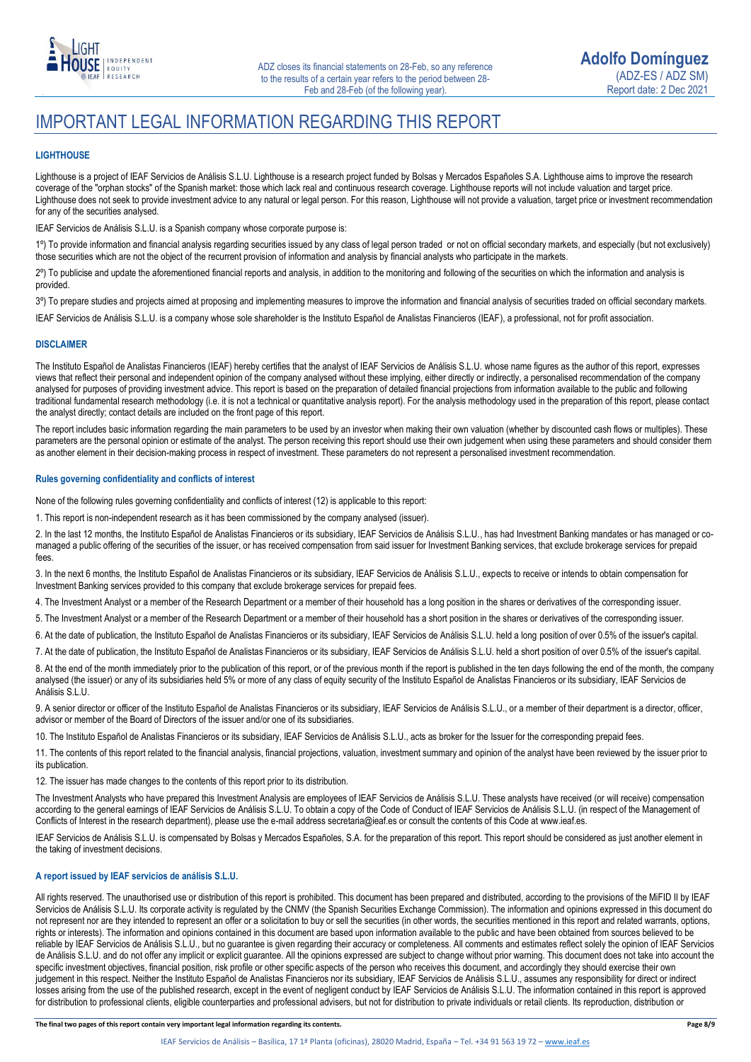

## IMPORTANT LEGAL INFORMATION REGARDING THIS REPORT

### **LIGHTHOUSE**

Lighthouse is a project of IEAF Servicios de Análisis S.L.U. Lighthouse is a research project funded by Bolsas y Mercados Españoles S.A. Lighthouse aims to improve the research coverage of the "orphan stocks" of the Spanish market: those which lack real and continuous research coverage. Lighthouse reports will not include valuation and target price. Lighthouse does not seek to provide investment advice to any natural or legal person. For this reason, Lighthouse will not provide a valuation, target price or investment recommendation for any of the securities analysed.

IEAF Servicios de Análisis S.L.U. is a Spanish company whose corporate purpose is:

1º) To provide information and financial analysis regarding securities issued by any class of legal person traded or not on official secondary markets, and especially (but not exclusively) those securities which are not the object of the recurrent provision of information and analysis by financial analysts who participate in the markets.

2º) To publicise and update the aforementioned financial reports and analysis, in addition to the monitoring and following of the securities on which the information and analysis is provided.

3º) To prepare studies and projects aimed at proposing and implementing measures to improve the information and financial analysis of securities traded on official secondary markets.

IEAF Servicios de Análisis S.L.U. is a company whose sole shareholder is the Instituto Español de Analistas Financieros (IEAF), a professional, not for profit association.

### **DISCLAIMER**

The Instituto Español de Analistas Financieros (IEAF) hereby certifies that the analyst of IEAF Servicios de Análisis S.L.U. whose name figures as the author of this report, expresses views that reflect their personal and independent opinion of the company analysed without these implying, either directly or indirectly, a personalised recommendation of the company analysed for purposes of providing investment advice. This report is based on the preparation of detailed financial projections from information available to the public and following traditional fundamental research methodology (i.e. it is not a technical or quantitative analysis report). For the analysis methodology used in the preparation of this report, please contact the analyst directly; contact details are included on the front page of this report.

The report includes basic information regarding the main parameters to be used by an investor when making their own valuation (whether by discounted cash flows or multiples). These parameters are the personal opinion or estimate of the analyst. The person receiving this report should use their own judgement when using these parameters and should consider them as another element in their decision-making process in respect of investment. These parameters do not represent a personalised investment recommendation.

### **Rules governing confidentiality and conflicts of interest**

None of the following rules governing confidentiality and conflicts of interest (12) is applicable to this report:

1. This report is non-independent research as it has been commissioned by the company analysed (issuer).

2. In the last 12 months, the Instituto Español de Analistas Financieros or its subsidiary, IEAF Servicios de Análisis S.L.U., has had Investment Banking mandates or has managed or comanaged a public offering of the securities of the issuer, or has received compensation from said issuer for Investment Banking services, that exclude brokerage services for prepaid fees.

3. In the next 6 months, the Instituto Español de Analistas Financieros or its subsidiary, IEAF Servicios de Análisis S.L.U., expects to receive or intends to obtain compensation for Investment Banking services provided to this company that exclude brokerage services for prepaid fees.

4. The Investment Analyst or a member of the Research Department or a member of their household has a long position in the shares or derivatives of the corresponding issuer.

5. The Investment Analyst or a member of the Research Department or a member of their household has a short position in the shares or derivatives of the corresponding issuer.

6. At the date of publication, the Instituto Español de Analistas Financieros or its subsidiary, IEAF Servicios de Análisis S.L.U. held a long position of over 0.5% of the issuer's capital.

7. At the date of publication, the Instituto Español de Analistas Financieros or its subsidiary, IEAF Servicios de Análisis S.L.U. held a short position of over 0.5% of the issuer's capital.

8. At the end of the month immediately prior to the publication of this report, or of the previous month if the report is published in the ten days following the end of the month, the company analysed (the issuer) or any of its subsidiaries held 5% or more of any class of equity security of the Instituto Español de Analistas Financieros or its subsidiary, IEAF Servicios de Análisis S.L.U.

9. A senior director or officer of the Instituto Español de Analistas Financieros or its subsidiary, IEAF Servicios de Análisis S.L.U., or a member of their department is a director, officer, advisor or member of the Board of Directors of the issuer and/or one of its subsidiaries.

10. The Instituto Español de Analistas Financieros or its subsidiary, IEAF Servicios de Análisis S.L.U., acts as broker for the Issuer for the corresponding prepaid fees.

11. The contents of this report related to the financial analysis, financial projections, valuation, investment summary and opinion of the analyst have been reviewed by the issuer prior to its publication.

12. The issuer has made changes to the contents of this report prior to its distribution.

The Investment Analysts who have prepared this Investment Analysis are employees of IEAF Servicios de Análisis S.L.U. These analysts have received (or will receive) compensation according to the general earnings of IEAF Servicios de Análisis S.L.U. To obtain a copy of the Code of Conduct of IEAF Servicios de Análisis S.L.U. (in respect of the Management of Conflicts of Interest in the research department), please use the e-mail address secretaria@ieaf.es or consult the contents of this Code at [www.ieaf.es.](https://www.ieaf.es/images/IEAF/LIGHTHOUSE/IEAF_LIGHTHOUSE_CodigoDeConducta.pdf) 

IEAF Servicios de Análisis S.L.U. is compensated by Bolsas y Mercados Españoles, S.A. for the preparation of this report. This report should be considered as just another element in the taking of investment decisions.

### **A report issued by IEAF servicios de análisis S.L.U.**

All rights reserved. The unauthorised use or distribution of this report is prohibited. This document has been prepared and distributed, according to the provisions of the MiFID II by IEAF Servicios de Análisis S.L.U. Its corporate activity is regulated by the CNMV (the Spanish Securities Exchange Commission). The information and opinions expressed in this document do not represent nor are they intended to represent an offer or a solicitation to buy or sell the securities (in other words, the securities mentioned in this report and related warrants, options, rights or interests). The information and opinions contained in this document are based upon information available to the public and have been obtained from sources believed to be reliable by IEAF Servicios de Análisis S.L.U., but no guarantee is given regarding their accuracy or completeness. All comments and estimates reflect solely the opinion of IEAF Servicios de Análisis S.L.U. and do not offer any implicit or explicit guarantee. All the opinions expressed are subject to change without prior warning. This document does not take into account the specific investment objectives, financial position, risk profile or other specific aspects of the person who receives this document, and accordingly they should exercise their own judgement in this respect. Neither the Instituto Español de Analistas Financieros nor its subsidiary, IEAF Servicios de Análisis S.L.U., assumes any responsibility for direct or indirect losses arising from the use of the published research, except in the event of negligent conduct by IEAF Servicios de Análisis S.L.U. The information contained in this report is approved for distribution to professional clients, eligible counterparties and professional advisers, but not for distribution to private individuals or retail clients. Its reproduction, distribution or